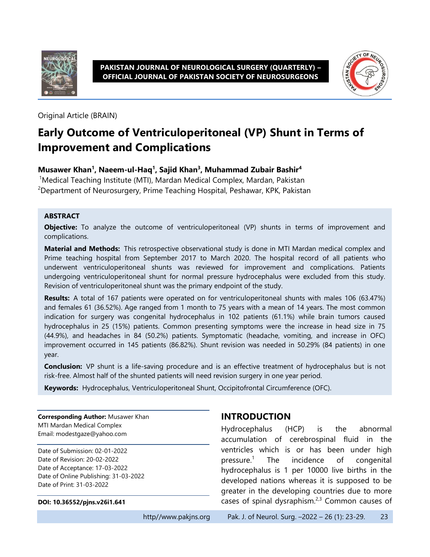

**PAKISTAN JOURNAL OF NEUROLOGICAL SURGERY (QUARTERLY) – OFFICIAL JOURNAL OF PAKISTAN SOCIETY OF NEUROSURGEONS**



Original Article (BRAIN)

# **Early Outcome of Ventriculoperitoneal (VP) Shunt in Terms of Improvement and Complications**

#### **Musawer Khan<sup>1</sup> , Naeem-ul-Haq<sup>1</sup> , Sajid Khan<sup>3</sup> , Muhammad Zubair Bashir<sup>4</sup>**

<sup>1</sup>Medical Teaching Institute (MTI), Mardan Medical Complex, Mardan, Pakistan <sup>2</sup>Department of Neurosurgery, Prime Teaching Hospital, Peshawar, KPK, Pakistan

#### **ABSTRACT**

**Objective:** To analyze the outcome of ventriculoperitoneal (VP) shunts in terms of improvement and complications.

**Material and Methods:** This retrospective observational study is done in MTI Mardan medical complex and Prime teaching hospital from September 2017 to March 2020. The hospital record of all patients who underwent ventriculoperitoneal shunts was reviewed for improvement and complications. Patients undergoing ventriculoperitoneal shunt for normal pressure hydrocephalus were excluded from this study. Revision of ventriculoperitoneal shunt was the primary endpoint of the study.

**Results:** A total of 167 patients were operated on for ventriculoperitoneal shunts with males 106 (63.47%) and females 61 (36.52%). Age ranged from 1 month to 75 years with a mean of 14 years. The most common indication for surgery was congenital hydrocephalus in 102 patients (61.1%) while brain tumors caused hydrocephalus in 25 (15%) patients. Common presenting symptoms were the increase in head size in 75 (44.9%), and headaches in 84 (50.2%) patients. Symptomatic (headache, vomiting, and increase in OFC) improvement occurred in 145 patients (86.82%). Shunt revision was needed in 50.29% (84 patients) in one year.

**Conclusion:** VP shunt is a life-saving procedure and is an effective treatment of hydrocephalus but is not risk-free. Almost half of the shunted patients will need revision surgery in one year period.

**Keywords:** Hydrocephalus, Ventriculoperitoneal Shunt, Occipitofrontal Circumference (OFC).

**Corresponding Author:** Musawer Khan MTI Mardan Medical Complex Email: modestgaze@yahoo.com

Date of Submission: 02-01-2022 Date of Revision: 20-02-2022 Date of Acceptance: 17-03-2022 Date of Online Publishing: 31-03-2022 Date of Print: 31-03-2022

#### **DOI: 10.36552/pjns.v26i1.641**

#### **INTRODUCTION**

Hydrocephalus (HCP) is the abnormal accumulation of cerebrospinal fluid in the ventricles which is or has been under high pressure.<sup>1</sup> The incidence of congenital hydrocephalus is 1 per 10000 live births in the developed nations whereas it is supposed to be greater in the developing countries due to more cases of spinal dysraphism. $2,3$  Common causes of

#### http//www.pakjns.org Pak. J. of Neurol. Surg. -2022 - 26 (1): 23-29. 23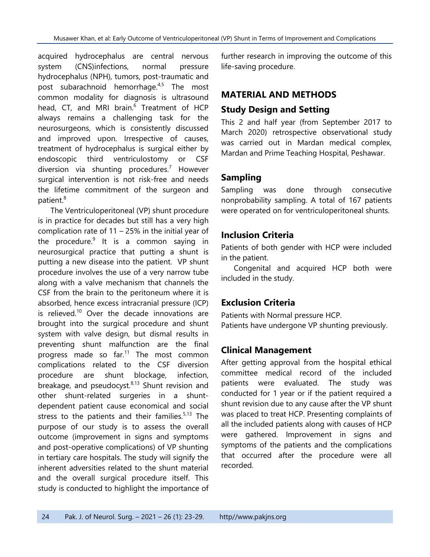acquired hydrocephalus are central nervous system (CNS)infections, normal pressure hydrocephalus (NPH), tumors, post-traumatic and post subarachnoid hemorrhage.<sup>4,5</sup> The most common modality for diagnosis is ultrasound head, CT, and MRI brain.<sup>6</sup> Treatment of HCP always remains a challenging task for the neurosurgeons, which is consistently discussed and improved upon. Irrespective of causes, treatment of hydrocephalus is surgical either by endoscopic third ventriculostomy or CSF diversion via shunting procedures. <sup>7</sup> However surgical intervention is not risk-free and needs the lifetime commitment of the surgeon and patient. 8

The Ventriculoperitoneal (VP) shunt procedure is in practice for decades but still has a very high complication rate of 11 – 25% in the initial year of the procedure.<sup>9</sup> It is a common saying in neurosurgical practice that putting a shunt is putting a new disease into the patient. VP shunt procedure involves the use of a very narrow tube along with a valve mechanism that channels the CSF from the brain to the peritoneum where it is absorbed, hence excess intracranial pressure (ICP) is relieved.<sup>10</sup> Over the decade innovations are brought into the surgical procedure and shunt system with valve design, but dismal results in preventing shunt malfunction are the final progress made so far. <sup>11</sup> The most common complications related to the CSF diversion procedure are shunt blockage, infection, breakage, and pseudocyst.<sup>8,13</sup> Shunt revision and other shunt-related surgeries in a shuntdependent patient cause economical and social stress to the patients and their families.<sup>5,13</sup> The purpose of our study is to assess the overall outcome (improvement in signs and symptoms and post-operative complications) of VP shunting in tertiary care hospitals. The study will signify the inherent adversities related to the shunt material and the overall surgical procedure itself. This study is conducted to highlight the importance of further research in improving the outcome of this life-saving procedure.

### **MATERIAL AND METHODS**

### **Study Design and Setting**

This 2 and half year (from September 2017 to March 2020) retrospective observational study was carried out in Mardan medical complex, Mardan and Prime Teaching Hospital, Peshawar.

# **Sampling**

Sampling was done through consecutive nonprobability sampling. A total of 167 patients were operated on for ventriculoperitoneal shunts.

### **Inclusion Criteria**

Patients of both gender with HCP were included in the patient.

Congenital and acquired HCP both were included in the study.

# **Exclusion Criteria**

Patients with Normal pressure HCP. Patients have undergone VP shunting previously.

# **Clinical Management**

After getting approval from the hospital ethical committee medical record of the included patients were evaluated. The study was conducted for 1 year or if the patient required a shunt revision due to any cause after the VP shunt was placed to treat HCP. Presenting complaints of all the included patients along with causes of HCP were gathered. Improvement in signs and symptoms of the patients and the complications that occurred after the procedure were all recorded.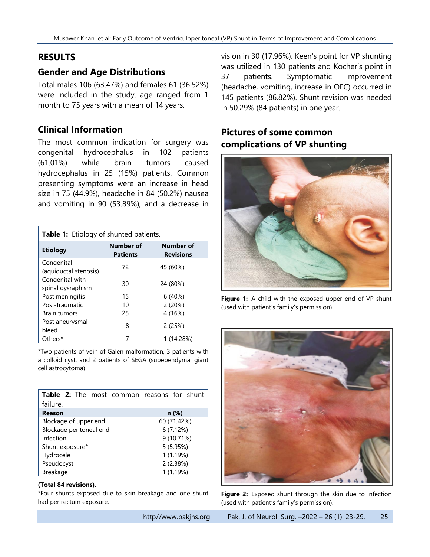### **RESULTS**

### **Gender and Age Distributions**

Total males 106 (63.47%) and females 61 (36.52%) were included in the study. age ranged from 1 month to 75 years with a mean of 14 years.

### **Clinical Information**

The most common indication for surgery was congenital hydrocephalus in 102 patients (61.01%) while brain tumors caused hydrocephalus in 25 (15%) patients. Common presenting symptoms were an increase in head size in 75 (44.9%), headache in 84 (50.2%) nausea and vomiting in 90 (53.89%), and a decrease in

| <b>Table 1:</b> Etiology of shunted patients. |                              |                               |  |  |
|-----------------------------------------------|------------------------------|-------------------------------|--|--|
| <b>Etiology</b>                               | Number of<br><b>Patients</b> | Number of<br><b>Revisions</b> |  |  |
| Congenital<br>(aquiductal stenosis)           | 72                           | 45 (60%)                      |  |  |
| Congenital with<br>spinal dysraphism          | 30                           | 24 (80%)                      |  |  |
| Post meningitis                               | 15                           | 6(40%)                        |  |  |
| Post-traumatic                                | 10                           | 2(20%)                        |  |  |
| <b>Brain tumors</b>                           | 25                           | 4 (16%)                       |  |  |
| Post aneurysmal<br>bleed                      | 8                            | 2(25%)                        |  |  |
| Others*                                       | 7                            | 1 (14.28%)                    |  |  |

\*Two patients of vein of Galen malformation, 3 patients with a colloid cyst, and 2 patients of SEGA (subependymal giant cell astrocytoma).

| <b>Table 2:</b> The most common reasons for shunt |             |  |
|---------------------------------------------------|-------------|--|
| failure.                                          |             |  |
| Reason                                            | n(%)        |  |
| Blockage of upper end                             | 60 (71.42%) |  |
| Blockage peritoneal end<br>6(7.12%)               |             |  |
| Infection                                         | 9 (10.71%)  |  |
| Shunt exposure*                                   | 5(5.95%)    |  |
| Hydrocele                                         | 1(1.19%)    |  |
| Pseudocyst                                        | 2(2.38%)    |  |
| Breakage                                          | 1 (1.19%)   |  |

#### **(Total 84 revisions).**

\*Four shunts exposed due to skin breakage and one shunt had per rectum exposure.

vision in 30 (17.96%). Keen's point for VP shunting was utilized in 130 patients and Kocher's point in 37 patients. Symptomatic improvement (headache, vomiting, increase in OFC) occurred in 145 patients (86.82%). Shunt revision was needed in 50.29% (84 patients) in one year.

# **Pictures of some common complications of VP shunting**



**Figure 1:** A child with the exposed upper end of VP shunt (used with patient's family's permission).



**Figure 2:** Exposed shunt through the skin due to infection (used with patient's family's permission).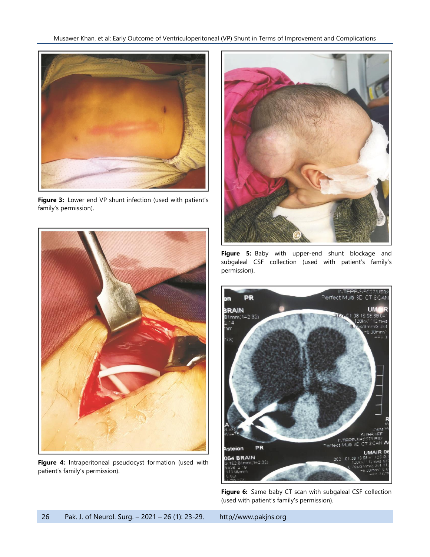

Figure 3: Lower end VP shunt infection (used with patient's family's permission).



**Figure 4:** Intraperitoneal pseudocyst formation (used with patient's family's permission).



**Figure 5:** Baby with upper-end shunt blockage and subgaleal CSF collection (used with patient's family's permission).



**Figure 6:** Same baby CT scan with subgaleal CSF collection (used with patient's family's permission).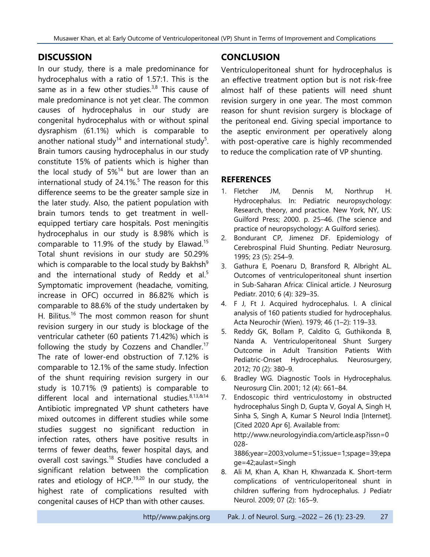### **DISCUSSION**

In our study, there is a male predominance for hydrocephalus with a ratio of 1.57:1. This is the same as in a few other studies.<sup>3,8</sup> This cause of male predominance is not yet clear. The common causes of hydrocephalus in our study are congenital hydrocephalus with or without spinal dysraphism (61.1%) which is comparable to another national study<sup>14</sup> and international study<sup>5</sup>. Brain tumors causing hydrocephalus in our study constitute 15% of patients which is higher than the local study of  $5\%^{14}$  but are lower than an international study of 24.1%. 5 The reason for this difference seems to be the greater sample size in the later study. Also, the patient population with brain tumors tends to get treatment in wellequipped tertiary care hospitals. Post meningitis hydrocephalus in our study is 8.98% which is comparable to 11.9% of the study by Elawad.<sup>15</sup> Total shunt revisions in our study are 50.29% which is comparable to the local study by Bakhsh $9$ and the international study of Reddy et al.<sup>5</sup> Symptomatic improvement (headache, vomiting, increase in OFC) occurred in 86.82% which is comparable to 88.6% of the study undertaken by H. Bilitus.<sup>16</sup> The most common reason for shunt revision surgery in our study is blockage of the ventricular catheter (60 patients 71.42%) which is following the study by Cozzens and Chandler.<sup>17</sup> The rate of lower-end obstruction of 7.12% is comparable to 12.1% of the same study. Infection of the shunt requiring revision surgery in our study is 10.71% (9 patients) is comparable to different local and international studies.<sup>8,13,&14</sup> Antibiotic impregnated VP shunt catheters have mixed outcomes in different studies while some studies suggest no significant reduction in infection rates, others have positive results in terms of fewer deaths, fewer hospital days, and overall cost savings.<sup>18</sup> Studies have concluded a significant relation between the complication rates and etiology of HCP. $19,20$  In our study, the highest rate of complications resulted with congenital causes of HCP than with other causes.

# **CONCLUSION**

Ventriculoperitoneal shunt for hydrocephalus is an effective treatment option but is not risk-free almost half of these patients will need shunt revision surgery in one year. The most common reason for shunt revision surgery is blockage of the peritoneal end. Giving special importance to the aseptic environment per operatively along with post-operative care is highly recommended to reduce the complication rate of VP shunting.

#### **REFERENCES**

- 1. Fletcher JM, Dennis M, Northrup H. Hydrocephalus. In: Pediatric neuropsychology: Research, theory, and practice. New York, NY, US: Guilford Press; 2000. p. 25–46. (The science and practice of neuropsychology: A Guilford series).
- 2. Bondurant CP, Jimenez DF. Epidemiology of Cerebrospinal Fluid Shunting. Pediatr Neurosurg. 1995; 23 (5): 254–9.
- 3. Gathura E, Poenaru D, Bransford R, Albright AL. Outcomes of ventriculoperitoneal shunt insertion in Sub-Saharan Africa: Clinical article. J Neurosurg Pediatr. 2010; 6 (4): 329–35.
- 4. F J, Ft J. Acquired hydrocephalus. I. A clinical analysis of 160 patients studied for hydrocephalus. Acta Neurochir (Wien). 1979; 46 (1–2): 119–33.
- 5. Reddy GK, Bollam P, Caldito G, Guthikonda B, Nanda A. Ventriculoperitoneal Shunt Surgery Outcome in Adult Transition Patients With Pediatric-Onset Hydrocephalus. Neurosurgery, 2012; 70 (2): 380–9.
- 6. Bradley WG. Diagnostic Tools in Hydrocephalus. Neurosurg Clin. 2001; 12 (4): 661–84.
- 7. Endoscopic third ventriculostomy in obstructed hydrocephalus Singh D, Gupta V, Goyal A, Singh H, Sinha S, Singh A, Kumar S Neurol India [Internet]. [Cited 2020 Apr 6]. Available from: http://www.neurologyindia.com/article.asp?issn=0 028-

3886;year=2003;volume=51;issue=1;spage=39;epa ge=42;aulast=Singh

8. Ali M, Khan A, Khan H, Khwanzada K. Short-term complications of ventriculoperitoneal shunt in children suffering from hydrocephalus. J Pediatr Neurol. 2009; 07 (2): 165–9.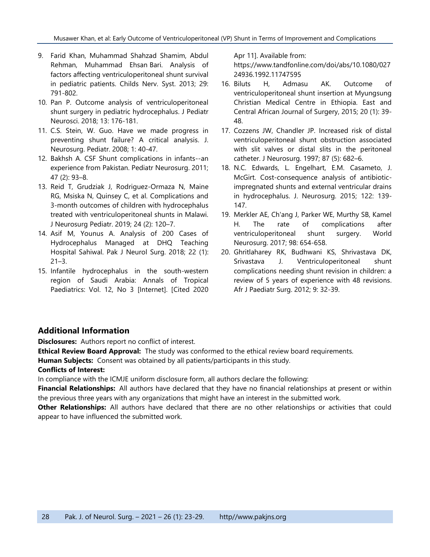- 9. Farid Khan, Muhammad Shahzad Shamim, Abdul Rehman, Muhammad Ehsan Bari. Analysis of factors affecting ventriculoperitoneal shunt survival in pediatric patients. Childs Nerv. Syst. 2013; 29: 791-802.
- 10. Pan P. [Outcome analysis of ventriculoperitoneal](https://dx.doi.org/10.4103%2Fjpn.JPN_29_18?utm_medium=email&utm_source=transaction)  [shunt surgery in pediatric hydrocephalus.](https://dx.doi.org/10.4103%2Fjpn.JPN_29_18?utm_medium=email&utm_source=transaction) J Pediatr Neurosci. 2018; 13: 176-181.
- 11. C.S. Stein, W. Guo. Have we made progress in preventing shunt failure? A critical analysis. J. Neurosurg. Pediatr. 2008; 1: 40-47.
- 12. Bakhsh A. CSF Shunt complications in infants--an experience from Pakistan. Pediatr Neurosurg. 2011; 47 (2): 93–8.
- 13. Reid T, Grudziak J, Rodriguez-Ormaza N, Maine RG, Msiska N, Quinsey C, et al. Complications and 3-month outcomes of children with hydrocephalus treated with ventriculoperitoneal shunts in Malawi. J Neurosurg Pediatr. 2019; 24 (2): 120–7.
- 14. Asif M, Younus A. Analysis of 200 Cases of Hydrocephalus Managed at DHQ Teaching Hospital Sahiwal. Pak J Neurol Surg. 2018; 22 (1):  $21 - 3$ .
- 15. Infantile hydrocephalus in the south-western region of Saudi Arabia: Annals of Tropical Paediatrics: Vol. 12, No 3 [Internet]. [Cited 2020

Apr 11]. Available from:

https://www.tandfonline.com/doi/abs/10.1080/027 24936.1992.11747595

- 16. Biluts H, Admasu AK. Outcome of ventriculoperitoneal shunt insertion at Myungsung Christian Medical Centre in Ethiopia. East and Central African Journal of Surgery, 2015; 20 (1): 39- 48.
- 17. Cozzens JW, Chandler JP. Increased risk of distal ventriculoperitoneal shunt obstruction associated with slit valves or distal slits in the peritoneal catheter. J Neurosurg. 1997; 87 (5): 682–6.
- 18. N.C. Edwards, L. Engelhart, E.M. Casameto, J. McGirt. Cost-consequence analysis of antibioticimpregnated shunts and external ventricular drains in hydrocephalus. J. Neurosurg. 2015; 122: 139- 147.
- 19. Merkler AE, Ch'ang J, Parker WE, Murthy SB, Kamel H. [The rate of complications after](https://dx.doi.org/10.1016/j.wneu.2016.10.136?utm_medium=email&utm_source=transaction)  [ventriculoperitoneal shunt surgery.](https://dx.doi.org/10.1016/j.wneu.2016.10.136?utm_medium=email&utm_source=transaction) World Neurosurg. 2017; 98: 654-658.
- 20. Ghritlaharey RK, Budhwani KS, Shrivastava DK, Srivastava J. [Ventriculoperitoneal shunt](https://dx.doi.org/10.4103/0189-6725.93300?utm_medium=email&utm_source=transaction)  [complications needing shunt revision in children: a](https://dx.doi.org/10.4103/0189-6725.93300?utm_medium=email&utm_source=transaction)  [review of 5 years of experience with 48 revisions.](https://dx.doi.org/10.4103/0189-6725.93300?utm_medium=email&utm_source=transaction) Afr J Paediatr Surg. 2012; 9: 32-39.

#### **Additional Information**

**Disclosures:** Authors report no conflict of interest.

**Ethical Review Board Approval:** The study was conformed to the ethical review board requirements.

**Human Subjects:** Consent was obtained by all patients/participants in this study.

#### **Conflicts of Interest:**

In compliance with the ICMJE uniform disclosure form, all authors declare the following:

**Financial Relationships:** All authors have declared that they have no financial relationships at present or within the previous three years with any organizations that might have an interest in the submitted work.

**Other Relationships:** All authors have declared that there are no other relationships or activities that could appear to have influenced the submitted work.